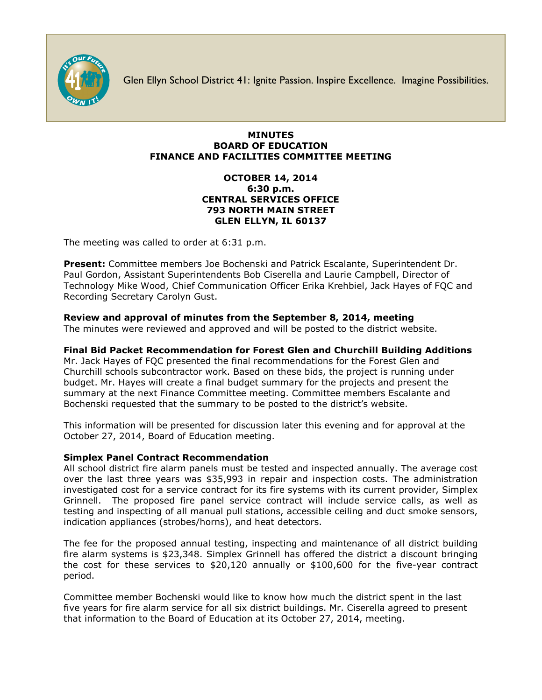

Glen Ellyn School District 41: Ignite Passion. Inspire Excellence. Imagine Possibilities.

### **MINUTES BOARD OF EDUCATION FINANCE AND FACILITIES COMMITTEE MEETING**

### **OCTOBER 14, 2014 6:30 p.m. CENTRAL SERVICES OFFICE 793 NORTH MAIN STREET GLEN ELLYN, IL 60137**

The meeting was called to order at 6:31 p.m.

**Present:** Committee members Joe Bochenski and Patrick Escalante, Superintendent Dr. Paul Gordon, Assistant Superintendents Bob Ciserella and Laurie Campbell, Director of Technology Mike Wood, Chief Communication Officer [Erika Krehbiel,](http://www.d41.org/contact_email.asp?id=ekrehbiel&n=Erika_Krehbiel) Jack Hayes of FQC and Recording Secretary Carolyn Gust.

# **Review and approval of minutes from the September 8, 2014, meeting**

The minutes were reviewed and approved and will be posted to the district website.

## **Final Bid Packet Recommendation for Forest Glen and Churchill Building Additions**

Mr. Jack Hayes of FQC presented the final recommendations for the Forest Glen and Churchill schools subcontractor work. Based on these bids, the project is running under budget. Mr. Hayes will create a final budget summary for the projects and present the summary at the next Finance Committee meeting. Committee members Escalante and Bochenski requested that the summary to be posted to the district's website.

This information will be presented for discussion later this evening and for approval at the October 27, 2014, Board of Education meeting.

### **Simplex Panel Contract Recommendation**

All school district fire alarm panels must be tested and inspected annually. The average cost over the last three years was \$35,993 in repair and inspection costs. The administration investigated cost for a service contract for its fire systems with its current provider, Simplex Grinnell. The proposed fire panel service contract will include service calls, as well as testing and inspecting of all manual pull stations, accessible ceiling and duct smoke sensors, indication appliances (strobes/horns), and heat detectors.

The fee for the proposed annual testing, inspecting and maintenance of all district building fire alarm systems is \$23,348. Simplex Grinnell has offered the district a discount bringing the cost for these services to \$20,120 annually or \$100,600 for the five-year contract period.

Committee member Bochenski would like to know how much the district spent in the last five years for fire alarm service for all six district buildings. Mr. Ciserella agreed to present that information to the Board of Education at its October 27, 2014, meeting.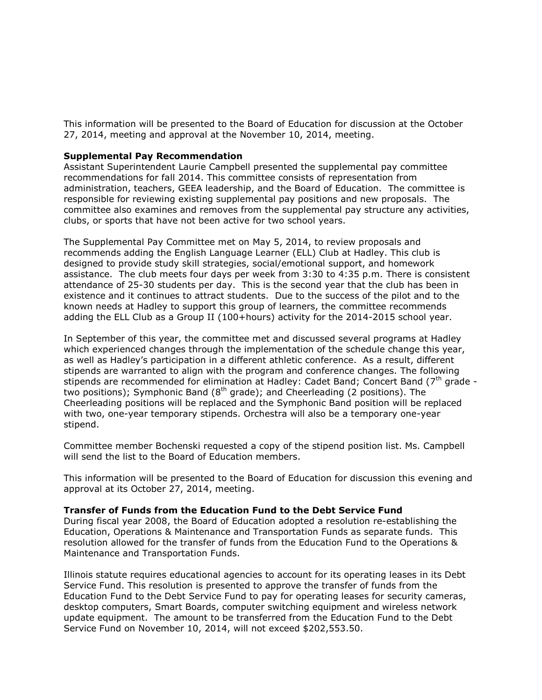This information will be presented to the Board of Education for discussion at the October 27, 2014, meeting and approval at the November 10, 2014, meeting.

#### **Supplemental Pay Recommendation**

Assistant Superintendent Laurie Campbell presented the supplemental pay committee recommendations for fall 2014. This committee consists of representation from administration, teachers, GEEA leadership, and the Board of Education. The committee is responsible for reviewing existing supplemental pay positions and new proposals. The committee also examines and removes from the supplemental pay structure any activities, clubs, or sports that have not been active for two school years.

The Supplemental Pay Committee met on May 5, 2014, to review proposals and recommends adding the English Language Learner (ELL) Club at Hadley. This club is designed to provide study skill strategies, social/emotional support, and homework assistance. The club meets four days per week from 3:30 to 4:35 p.m. There is consistent attendance of 25-30 students per day. This is the second year that the club has been in existence and it continues to attract students. Due to the success of the pilot and to the known needs at Hadley to support this group of learners, the committee recommends adding the ELL Club as a Group II (100+hours) activity for the 2014-2015 school year.

In September of this year, the committee met and discussed several programs at Hadley which experienced changes through the implementation of the schedule change this year, as well as Hadley's participation in a different athletic conference. As a result, different stipends are warranted to align with the program and conference changes. The following stipends are recommended for elimination at Hadley: Cadet Band; Concert Band  $(7<sup>th</sup>$  grade two positions); Symphonic Band  $(8<sup>th</sup>$  grade); and Cheerleading (2 positions). The Cheerleading positions will be replaced and the Symphonic Band position will be replaced with two, one-year temporary stipends. Orchestra will also be a temporary one-year stipend.

Committee member Bochenski requested a copy of the stipend position list. Ms. Campbell will send the list to the Board of Education members.

This information will be presented to the Board of Education for discussion this evening and approval at its October 27, 2014, meeting.

#### **Transfer of Funds from the Education Fund to the Debt Service Fund**

During fiscal year 2008, the Board of Education adopted a resolution re-establishing the Education, Operations & Maintenance and Transportation Funds as separate funds. This resolution allowed for the transfer of funds from the Education Fund to the Operations & Maintenance and Transportation Funds.

Illinois statute requires educational agencies to account for its operating leases in its Debt Service Fund. This resolution is presented to approve the transfer of funds from the Education Fund to the Debt Service Fund to pay for operating leases for security cameras, desktop computers, Smart Boards, computer switching equipment and wireless network update equipment. The amount to be transferred from the Education Fund to the Debt Service Fund on November 10, 2014, will not exceed \$202,553.50.